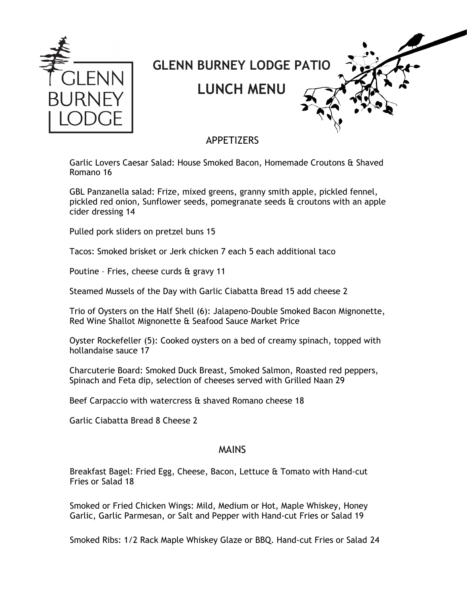

## **GLENN BURNEY LODGE PATIO**

**LUNCH MENU**

## APPETIZERS

Garlic Lovers Caesar Salad: House Smoked Bacon, Homemade Croutons & Shaved Romano 16

GBL Panzanella salad: Frize, mixed greens, granny smith apple, pickled fennel, pickled red onion, Sunflower seeds, pomegranate seeds & croutons with an apple cider dressing 14

Pulled pork sliders on pretzel buns 15

Tacos: Smoked brisket or Jerk chicken 7 each 5 each additional taco

Poutine – Fries, cheese curds & gravy 11

Steamed Mussels of the Day with Garlic Ciabatta Bread 15 add cheese 2

Trio of Oysters on the Half Shell (6): Jalapeno-Double Smoked Bacon Mignonette, Red Wine Shallot Mignonette & Seafood Sauce Market Price

Oyster Rockefeller (5): Cooked oysters on a bed of creamy spinach, topped with hollandaise sauce 17

Charcuterie Board: Smoked Duck Breast, Smoked Salmon, Roasted red peppers, Spinach and Feta dip, selection of cheeses served with Grilled Naan 29

Beef Carpaccio with watercress & shaved Romano cheese 18

Garlic Ciabatta Bread 8 Cheese 2

## MAINS

Breakfast Bagel: Fried Egg, Cheese, Bacon, Lettuce & Tomato with Hand-cut Fries or Salad 18

Smoked or Fried Chicken Wings: Mild, Medium or Hot, Maple Whiskey, Honey Garlic, Garlic Parmesan, or Salt and Pepper with Hand-cut Fries or Salad 19

Smoked Ribs: 1/2 Rack Maple Whiskey Glaze or BBQ. Hand-cut Fries or Salad 24